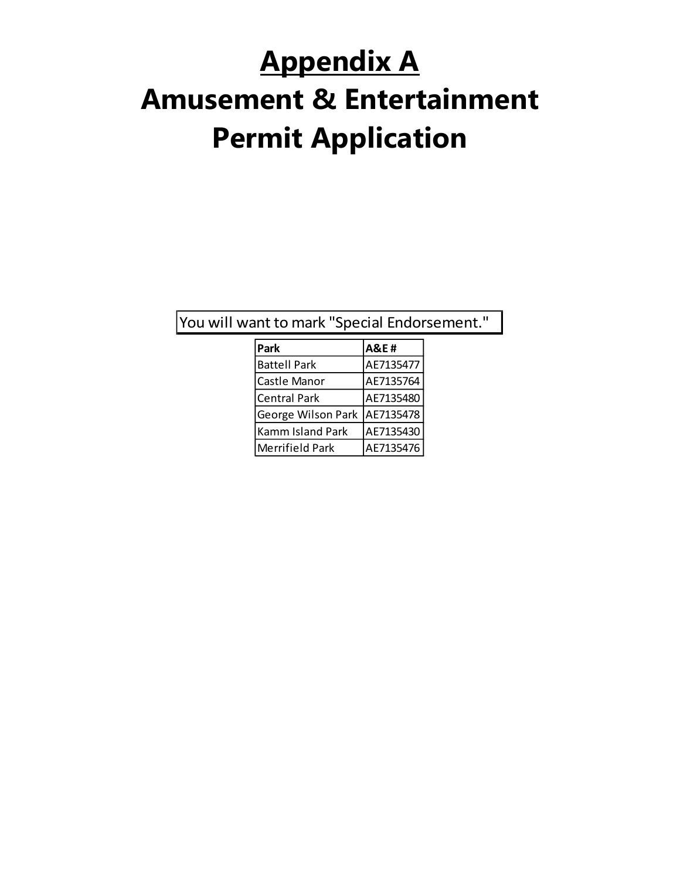# **Appendix A Amusement & Entertainment Permit Application**

You will want to mark "Special Endorsement."

| Park                   | <b>A&amp;E#</b> |
|------------------------|-----------------|
| <b>Battell Park</b>    | AE7135477       |
| Castle Manor           | AE7135764       |
| <b>Central Park</b>    | AE7135480       |
| George Wilson Park     | AE7135478       |
| Kamm Island Park       | AE7135430       |
| <b>Merrifield Park</b> | AE7135476       |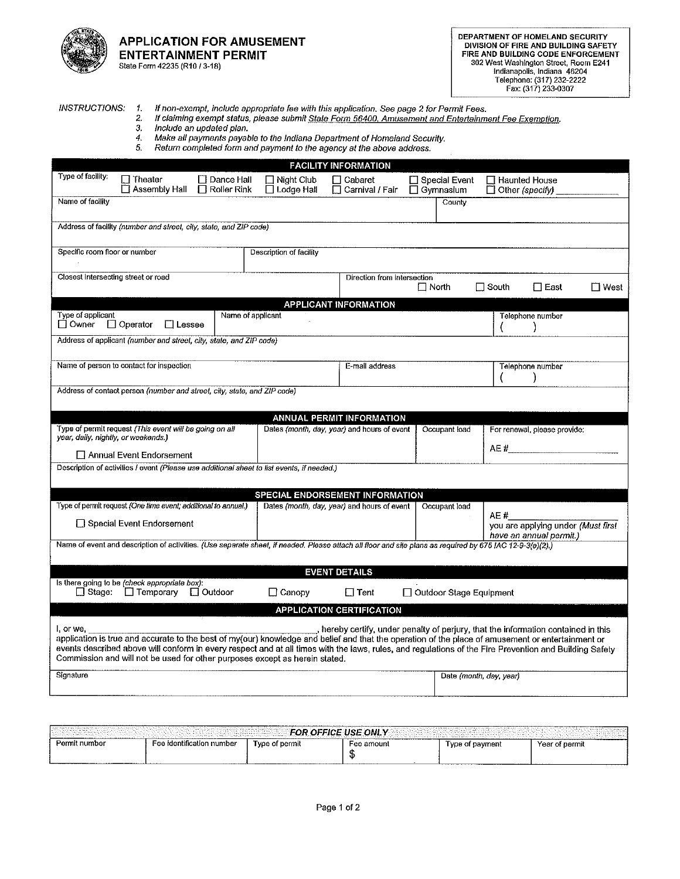

#### **APPLICATION FOR AMUSEMENT ENTERTAINMENT PERMIT** State Form 42235 (R10 / 3-18)

#### **INSTRUCTIONS:**

 $\boldsymbol{\Lambda}$ If non-exempt, include appropriate fee with this application. See page 2 for Permit Fees.  $2.$ If claiming exempt status, please submit State Form 56400, Amusement and Entertainment Fee Exemption.

 $\overline{3}$ . Include an updated plan.

Make all payments payable to the Indiana Department of Homeland Security. 4.  $5.$ Return completed form and payment to the agency at the above address.

|                                                                                                                                                                                                                                                                                                                                                                                                                                                                                               |                                                                            | <b>FACILITY INFORMATION</b>                 |                                     |                                                                       |
|-----------------------------------------------------------------------------------------------------------------------------------------------------------------------------------------------------------------------------------------------------------------------------------------------------------------------------------------------------------------------------------------------------------------------------------------------------------------------------------------------|----------------------------------------------------------------------------|---------------------------------------------|-------------------------------------|-----------------------------------------------------------------------|
| Type of facility:<br>$\Box$ Theater<br>□ Assembly Hall                                                                                                                                                                                                                                                                                                                                                                                                                                        | Dance Hall<br>$\Box$ Night Club<br>$\Box$ Roller Rink<br>$\Box$ Lodge Hall | □ Cabaret<br>□ Carnival / Fair              | □ Special Event<br>$\Box$ Gymnasium | □ Haunted House<br>$\Box$ Other (specify)                             |
| Name of facility                                                                                                                                                                                                                                                                                                                                                                                                                                                                              |                                                                            |                                             | County                              |                                                                       |
| Address of facility (number and street, city, state, and ZIP code)                                                                                                                                                                                                                                                                                                                                                                                                                            |                                                                            |                                             |                                     |                                                                       |
| Specific room floor or number                                                                                                                                                                                                                                                                                                                                                                                                                                                                 | Description of facility                                                    |                                             |                                     |                                                                       |
| Closest intersecting street or road                                                                                                                                                                                                                                                                                                                                                                                                                                                           |                                                                            | Direction from Intersection                 | $\Box$ North                        | $\Box$ South<br>$\Box$ East<br>□ West                                 |
|                                                                                                                                                                                                                                                                                                                                                                                                                                                                                               |                                                                            | <b>APPLICANT INFORMATION</b>                |                                     |                                                                       |
| Type of applicant<br>□ Owner<br>$\Box$ Operator<br>$\Box$ Lessee                                                                                                                                                                                                                                                                                                                                                                                                                              | Name of applicant                                                          |                                             |                                     | Telephone number                                                      |
| Address of applicant (number and street, city, state, and ZIP code)                                                                                                                                                                                                                                                                                                                                                                                                                           |                                                                            |                                             |                                     |                                                                       |
| Name of person to contact for inspection                                                                                                                                                                                                                                                                                                                                                                                                                                                      |                                                                            | E-mail address                              |                                     | Telephone number                                                      |
| Address of contact person (number and street, city, state, and ZIP code)                                                                                                                                                                                                                                                                                                                                                                                                                      |                                                                            |                                             |                                     |                                                                       |
|                                                                                                                                                                                                                                                                                                                                                                                                                                                                                               |                                                                            | <b>ANNUAL PERMIT INFORMATION</b>            |                                     |                                                                       |
| Type of permit request (This event will be going on all<br>year, daily, nightly, or weekends.)                                                                                                                                                                                                                                                                                                                                                                                                |                                                                            | Dates (month, day, year) and hours of event | Occupant load                       | For renewal, please provide:                                          |
| Annual Event Endorsement                                                                                                                                                                                                                                                                                                                                                                                                                                                                      |                                                                            |                                             |                                     |                                                                       |
| Description of activities / event (Please use additional sheet to list events, if needed.)                                                                                                                                                                                                                                                                                                                                                                                                    |                                                                            |                                             |                                     |                                                                       |
|                                                                                                                                                                                                                                                                                                                                                                                                                                                                                               |                                                                            | SPECIAL ENDORSEMENT INFORMATION             |                                     |                                                                       |
| Type of permit request (One time event; additional to annual.)                                                                                                                                                                                                                                                                                                                                                                                                                                |                                                                            | Dates (month, day, year) and hours of event | Occupant load                       |                                                                       |
| Special Event Endorsement                                                                                                                                                                                                                                                                                                                                                                                                                                                                     |                                                                            |                                             |                                     | AE #<br>you are applying under (Must first<br>have an annual permit.) |
| Name of event and description of activities. (Use separate sheet, if needed. Please attach all floor and site plans as required by 675 IAC 12-9-3(a)(2).)                                                                                                                                                                                                                                                                                                                                     |                                                                            |                                             |                                     |                                                                       |
|                                                                                                                                                                                                                                                                                                                                                                                                                                                                                               |                                                                            | <b>EVENT DETAILS</b>                        |                                     |                                                                       |
| Is there going to be (check appropriate box):<br>$\Box$ Stage:<br>$\Box$ Temporary<br>$\Box$ Outdoor                                                                                                                                                                                                                                                                                                                                                                                          | $\Box$ Canopy                                                              | $\Box$ Tent                                 | □ Outdoor Stage Equipment           |                                                                       |
|                                                                                                                                                                                                                                                                                                                                                                                                                                                                                               |                                                                            | <b>APPLICATION CERTIFICATION</b>            |                                     |                                                                       |
| , hereby certify, under penalty of periury, that the information contained in this<br>I, or we.<br>application is true and accurate to the best of my(our) knowledge and belief and that the operation of the place of amusement or entertainment or<br>events described above will conform in every respect and at all times with the laws, rules, and regulations of the Fire Prevention and Building Safety<br>Commission and will not be used for other purposes except as herein stated. |                                                                            |                                             |                                     |                                                                       |
| Signature                                                                                                                                                                                                                                                                                                                                                                                                                                                                                     |                                                                            |                                             | Date (month, day, year)             |                                                                       |

| - ONLY<br>OFFICE<br>100 <sub>m</sub><br>TOR.<br>.<br>---------<br>________ |                                |                   |            |                |                |
|----------------------------------------------------------------------------|--------------------------------|-------------------|------------|----------------|----------------|
| Permit number                                                              | ı number<br>-ee identification | of permit<br>`vpe | Fee amount | payment<br>voe | Year of permit |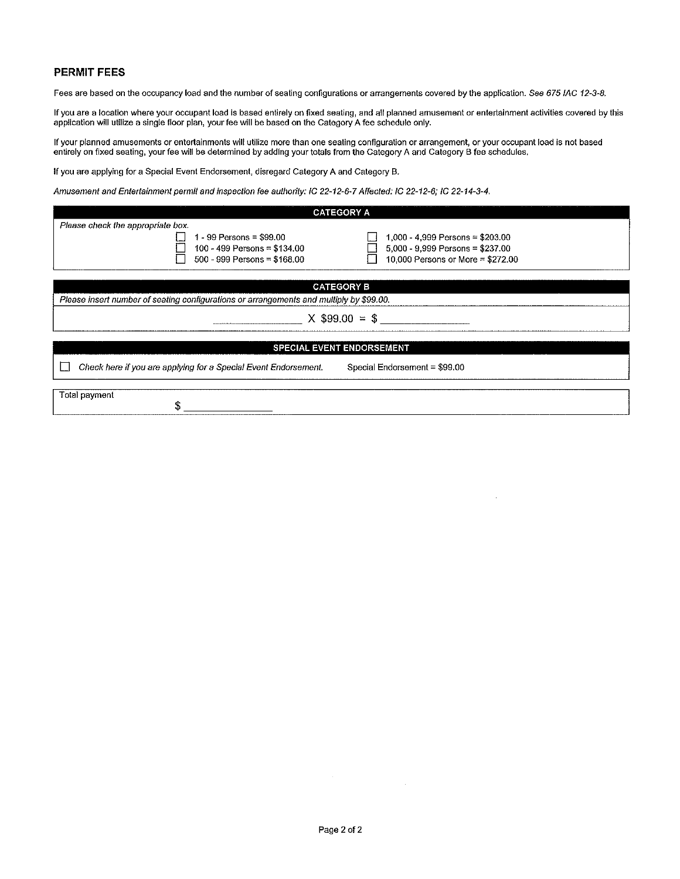#### **PERMIT FEES**

Fees are based on the occupancy load and the number of seating configurations or arrangements covered by the application. See 675 IAC 12-3-8.

If you are a location where your occupant load is based entirely on fixed seating, and all planned amusement or entertainment activities covered by this<br>application will utilize a single floor plan, your fee will be based

If your planned amusements or entertainments will utilize more than one seating configuration or arrangement, or your occupant load is not based<br>entirely on fixed seating, your fee will be determined by adding your totals

If you are applying for a Special Event Endorsement, disregard Category A and Category B.

Amusement and Entertainment permit and inspection fee authority: IC 22-12-6-7 Affected: IC 22-12-6; IC 22-14-3-4.

| <b>CATEGORY A</b>                                               |                                                                                                                                                                                                                  |  |  |  |
|-----------------------------------------------------------------|------------------------------------------------------------------------------------------------------------------------------------------------------------------------------------------------------------------|--|--|--|
|                                                                 |                                                                                                                                                                                                                  |  |  |  |
| $1 - 99$ Persons = \$99.00                                      | $1,000 - 4,999$ Persons = \$203.00                                                                                                                                                                               |  |  |  |
|                                                                 | $5,000 - 9,999$ Persons = \$237.00                                                                                                                                                                               |  |  |  |
|                                                                 | 10,000 Persons or More = \$272.00                                                                                                                                                                                |  |  |  |
|                                                                 |                                                                                                                                                                                                                  |  |  |  |
|                                                                 |                                                                                                                                                                                                                  |  |  |  |
|                                                                 |                                                                                                                                                                                                                  |  |  |  |
| $X$ \$99.00 = \$                                                |                                                                                                                                                                                                                  |  |  |  |
|                                                                 |                                                                                                                                                                                                                  |  |  |  |
|                                                                 |                                                                                                                                                                                                                  |  |  |  |
| Check here if you are applying for a Special Event Endorsement. | Special Endorsement = \$99.00                                                                                                                                                                                    |  |  |  |
|                                                                 |                                                                                                                                                                                                                  |  |  |  |
|                                                                 |                                                                                                                                                                                                                  |  |  |  |
|                                                                 | 100 - 499 Persons = \$134.00<br>500 - 999 Persons = \$168.00<br><b>CATEGORY B</b><br>Please insert number of seating configurations or arrangements and multiply by \$99.00.<br><b>SPECIAL EVENT ENDORSEMENT</b> |  |  |  |

 $\sim$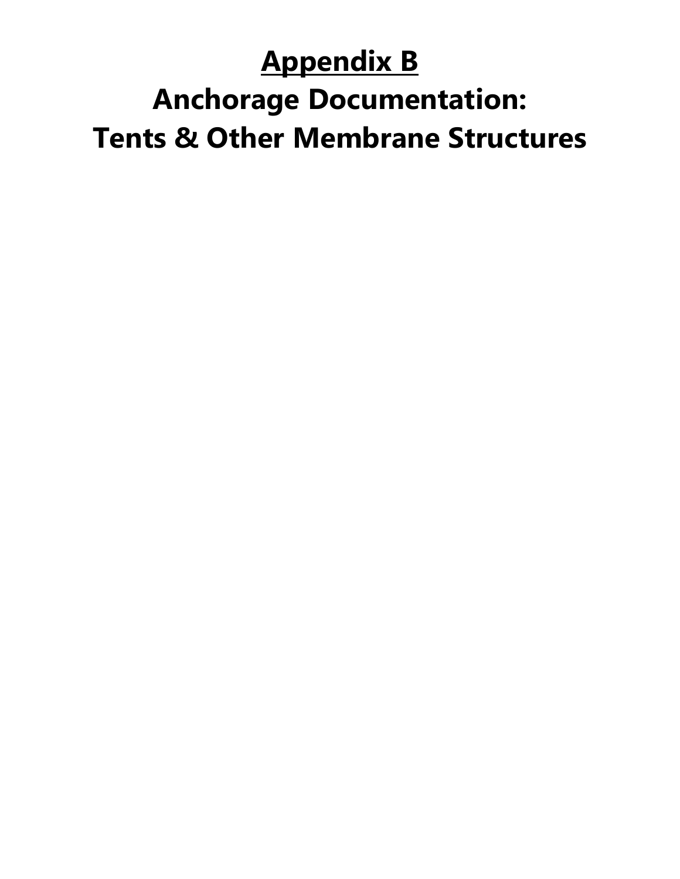### **Appendix B**

### **Anchorage Documentation: Tents & Other Membrane Structures**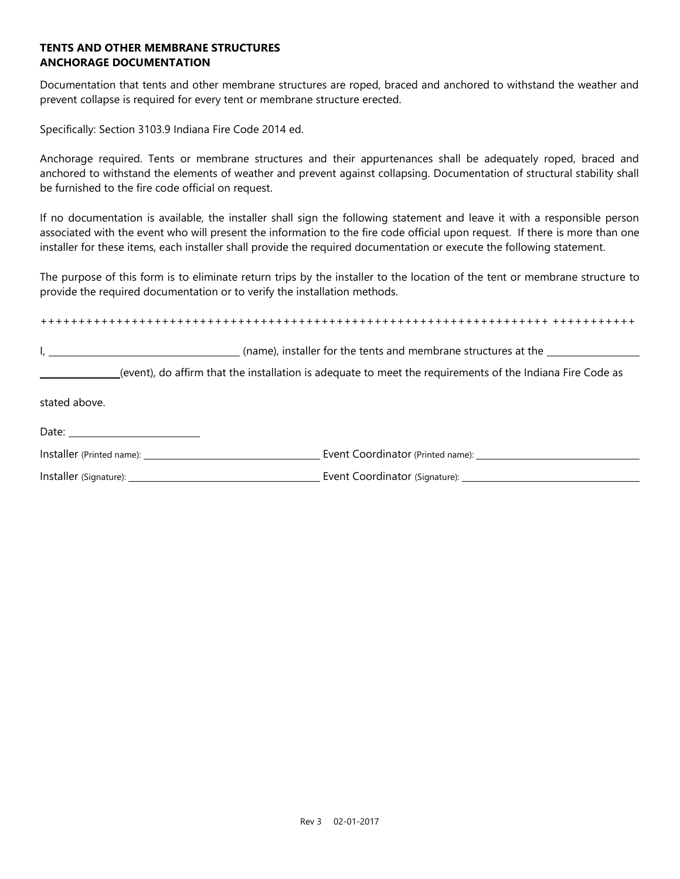### **TENTS AND OTHER MEMBRANE STRUCTURES ANCHORAGE DOCUMENTATION**

Documentation that tents and other membrane structures are roped, braced and anchored to withstand the weather and prevent collapse is required for every tent or membrane structure erected.

Specifically: Section 3103.9 Indiana Fire Code 2014 ed.

Anchorage required. Tents or membrane structures and their appurtenances shall be adequately roped, braced and anchored to withstand the elements of weather and prevent against collapsing. Documentation of structural stability shall be furnished to the fire code official on request.

If no documentation is available, the installer shall sign the following statement and leave it with a responsible person associated with the event who will present the information to the fire code official upon request. If there is more than one installer for these items, each installer shall provide the required documentation or execute the following statement.

The purpose of this form is to eliminate return trips by the installer to the location of the tent or membrane structure to provide the required documentation or to verify the installation methods.

+++++++++++++++++++++++++++++++++++++++++++++++++++++++++++++++++++ +++++++++++

I, the same of the tents and membrane structures at the law of the tents and membrane structures at the law of the tents and membrane structures at the

(event), do affirm that the installation is adequate to meet the requirements of the Indiana Fire Code as

stated above.

| Installer (Printed name): | Event Coordinator (Printed name): |
|---------------------------|-----------------------------------|
| Installer (Signature):    | Event Coordinator (Signature):    |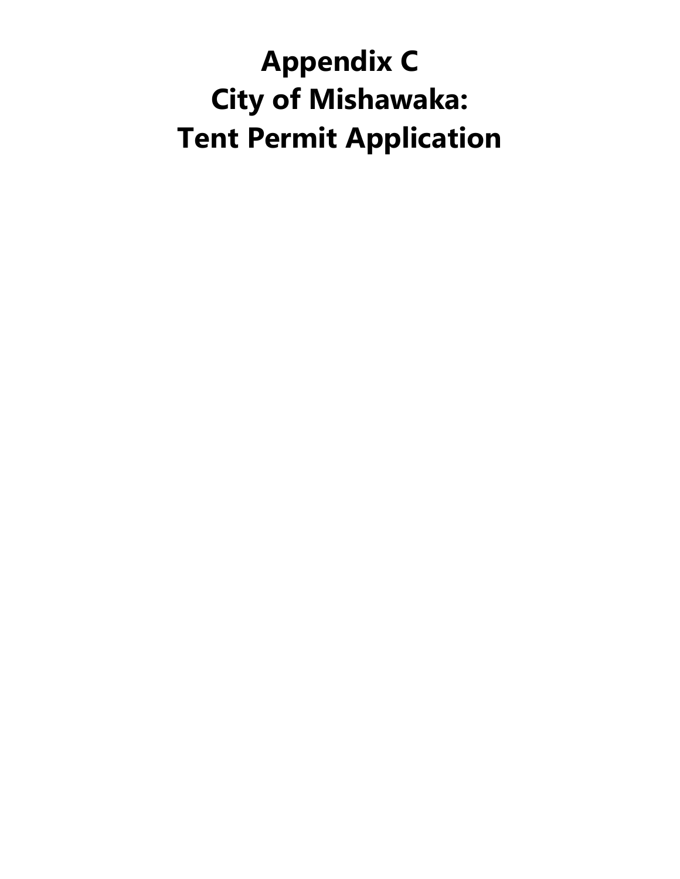# **Appendix C City of Mishawaka: Tent Permit Application**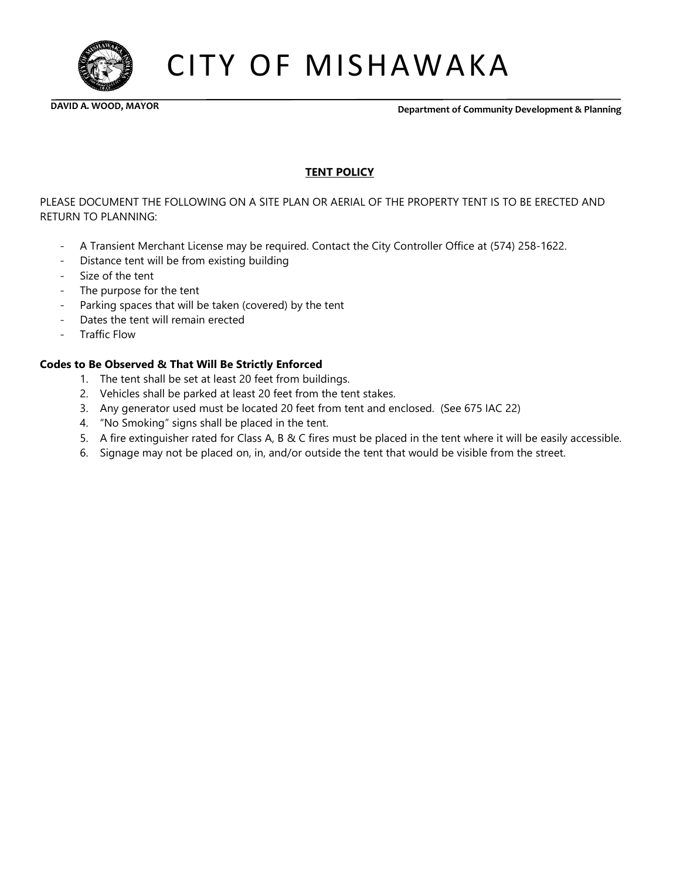

CITY OF MISHAWAKA

 **DAVID A. WOOD, MAYOR Department of Community Development & Planning**

### **TENT POLICY**

PLEASE DOCUMENT THE FOLLOWING ON A SITE PLAN OR AERIAL OF THE PROPERTY TENT IS TO BE ERECTED AND RETURN TO PLANNING:

- A Transient Merchant License may be required. Contact the City Controller Office at (574) 258-1622.
- Distance tent will be from existing building
- Size of the tent
- The purpose for the tent
- Parking spaces that will be taken (covered) by the tent
- Dates the tent will remain erected
- Traffic Flow

#### **Codes to Be Observed & That Will Be Strictly Enforced**

- 1. The tent shall be set at least 20 feet from buildings.
- 2. Vehicles shall be parked at least 20 feet from the tent stakes.
- 3. Any generator used must be located 20 feet from tent and enclosed. (See 675 IAC 22)
- 4. "No Smoking" signs shall be placed in the tent.
- 5. A fire extinguisher rated for Class A, B & C fires must be placed in the tent where it will be easily accessible.
- 6. Signage may not be placed on, in, and/or outside the tent that would be visible from the street.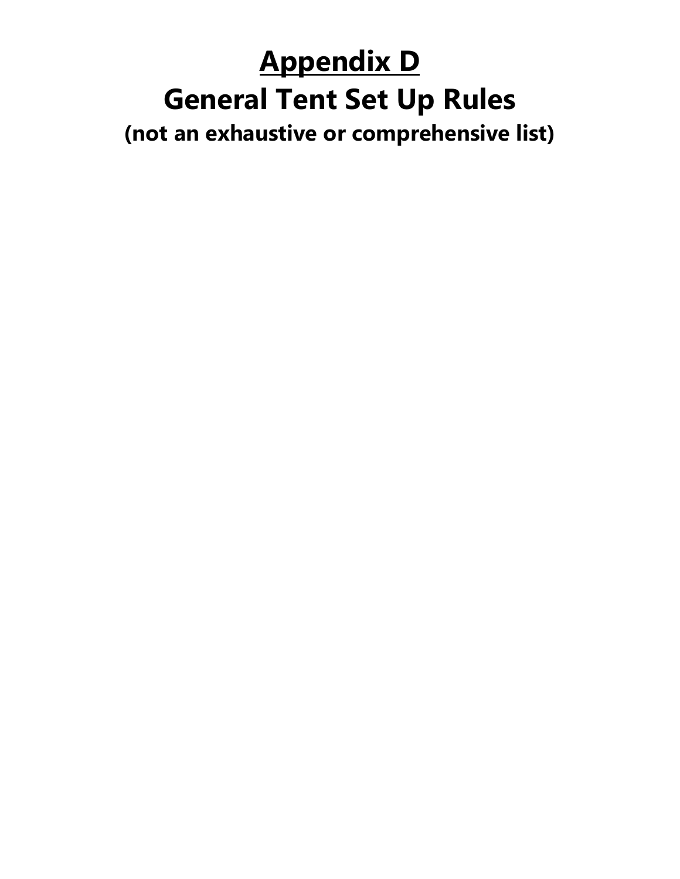### **Appendix D General Tent Set Up Rules (not an exhaustive or comprehensive list)**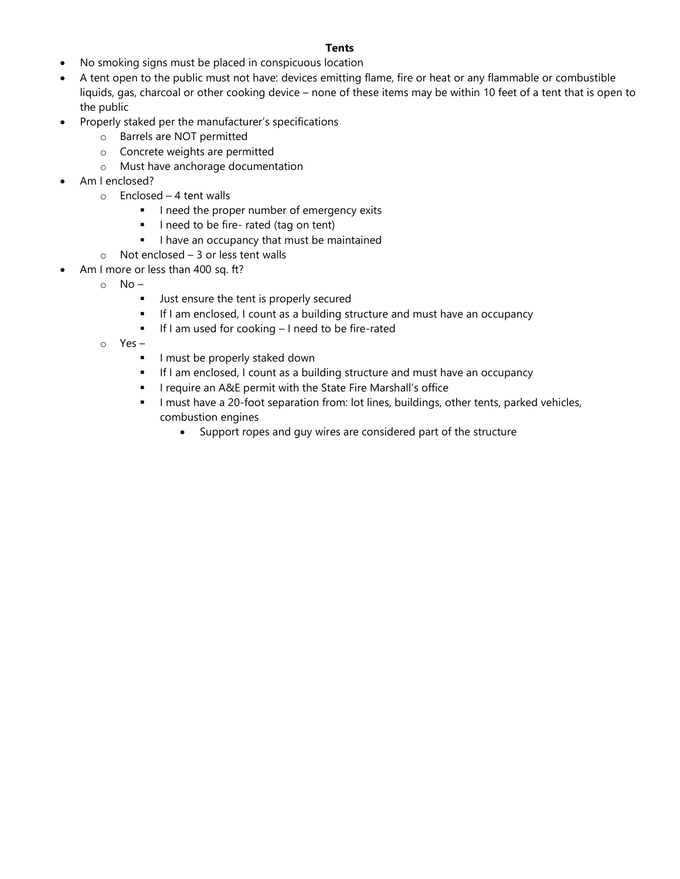#### **Tents**

- No smoking signs must be placed in conspicuous location
- A tent open to the public must not have: devices emitting flame, fire or heat or any flammable or combustible liquids, gas, charcoal or other cooking device – none of these items may be within 10 feet of a tent that is open to the public
- Properly staked per the manufacturer's specifications
	- o Barrels are NOT permitted
	- o Concrete weights are permitted
	- o Must have anchorage documentation
- Am I enclosed?
	- $\circ$  Enclosed 4 tent walls
		- **·** I need the proper number of emergency exits
		- **·** I need to be fire-rated (tag on tent)
		- **I** I have an occupancy that must be maintained
	- o Not enclosed 3 or less tent walls
	- Am I more or less than 400 sq. ft?
		- $\circ$  No
			- Just ensure the tent is properly secured
			- **.** If I am enclosed, I count as a building structure and must have an occupancy
			- If I am used for cooking I need to be fire-rated
		- o Yes
			- **·** I must be properly staked down
			- **EXECT** If I am enclosed, I count as a building structure and must have an occupancy
			- **.** I require an A&E permit with the State Fire Marshall's office
			- **·** I must have a 20-foot separation from: lot lines, buildings, other tents, parked vehicles, combustion engines
				- Support ropes and guy wires are considered part of the structure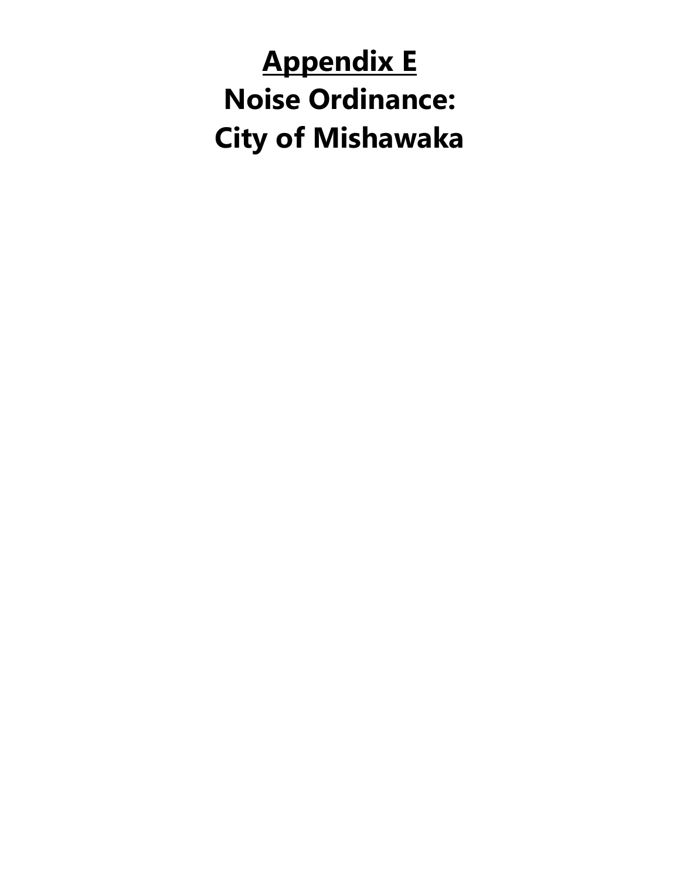# **Appendix E Noise Ordinance: City of Mishawaka**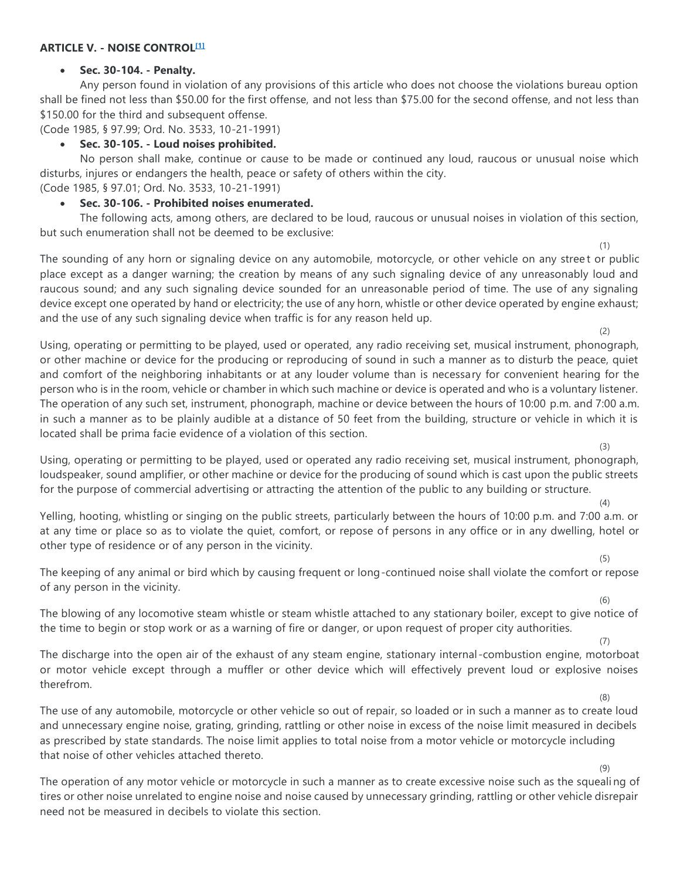#### **ARTICLE V. - NOISE CONTROL[\[1\]](https://library.municode.com/#fn_19)**

#### • **Sec. 30-104. - Penalty.**

Any person found in violation of any provisions of this article who does not choose the violations bureau option shall be fined not less than \$50.00 for the first offense, and not less than \$75.00 for the second offense, and not less than \$150.00 for the third and subsequent offense.

(Code 1985, § 97.99; Ord. No. 3533, 10-21-1991)

#### • **Sec. 30-105. - Loud noises prohibited.**

No person shall make, continue or cause to be made or continued any loud, raucous or unusual noise which disturbs, injures or endangers the health, peace or safety of others within the city. (Code 1985, § 97.01; Ord. No. 3533, 10-21-1991)

• **Sec. 30-106. - Prohibited noises enumerated.**

The following acts, among others, are declared to be loud, raucous or unusual noises in violation of this section, but such enumeration shall not be deemed to be exclusive:

The sounding of any horn or signaling device on any automobile, motorcycle, or other vehicle on any street or public place except as a danger warning; the creation by means of any such signaling device of any unreasonably loud and raucous sound; and any such signaling device sounded for an unreasonable period of time. The use of any signaling device except one operated by hand or electricity; the use of any horn, whistle or other device operated by engine exhaust; and the use of any such signaling device when traffic is for any reason held up.

Using, operating or permitting to be played, used or operated, any radio receiving set, musical instrument, phonograph, or other machine or device for the producing or reproducing of sound in such a manner as to disturb the peace, quiet and comfort of the neighboring inhabitants or at any louder volume than is necessary for convenient hearing for the person who is in the room, vehicle or chamber in which such machine or device is operated and who is a voluntary listener. The operation of any such set, instrument, phonograph, machine or device between the hours of 10:00 p.m. and 7:00 a.m. in such a manner as to be plainly audible at a distance of 50 feet from the building, structure or vehicle in which it is located shall be prima facie evidence of a violation of this section.

Using, operating or permitting to be played, used or operated any radio receiving set, musical instrument, phonograph, loudspeaker, sound amplifier, or other machine or device for the producing of sound which is cast upon the public streets for the purpose of commercial advertising or attracting the attention of the public to any building or structure.

Yelling, hooting, whistling or singing on the public streets, particularly between the hours of 10:00 p.m. and 7:00 a.m. or at any time or place so as to violate the quiet, comfort, or repose of persons in any office or in any dwelling, hotel or other type of residence or of any person in the vicinity.

The keeping of any animal or bird which by causing frequent or long-continued noise shall violate the comfort or repose of any person in the vicinity.

The blowing of any locomotive steam whistle or steam whistle attached to any stationary boiler, except to give notice of the time to begin or stop work or as a warning of fire or danger, or upon request of proper city authorities.

The discharge into the open air of the exhaust of any steam engine, stationary internal -combustion engine, motorboat or motor vehicle except through a muffler or other device which will effectively prevent loud or explosive noises therefrom.

The use of any automobile, motorcycle or other vehicle so out of repair, so loaded or in such a manner as to create loud and unnecessary engine noise, grating, grinding, rattling or other noise in excess of the noise limit measured in decibels as prescribed by state standards. The noise limit applies to total noise from a motor vehicle or motorcycle including that noise of other vehicles attached thereto.

The operation of any motor vehicle or motorcycle in such a manner as to create excessive noise such as the squeali ng of tires or other noise unrelated to engine noise and noise caused by unnecessary grinding, rattling or other vehicle disrepair need not be measured in decibels to violate this section.

(6)

(7)

(8)

(9)

(5)

(1)

(2)

(3)

(4)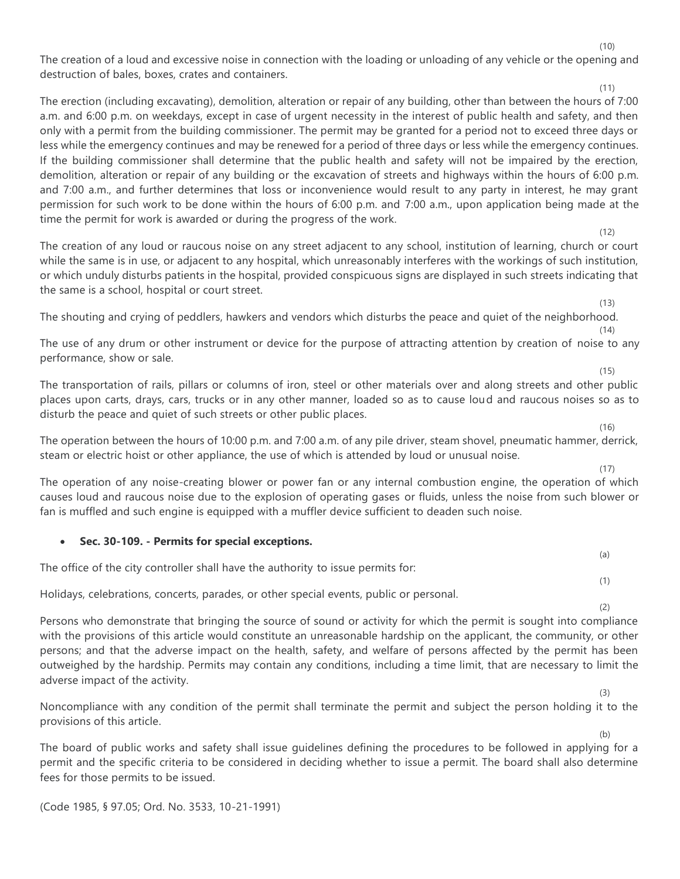The creation of a loud and excessive noise in connection with the loading or unloading of any vehicle or the opening and destruction of bales, boxes, crates and containers.

(11) The erection (including excavating), demolition, alteration or repair of any building, other than between the hours of 7:00 a.m. and 6:00 p.m. on weekdays, except in case of urgent necessity in the interest of public health and safety, and then only with a permit from the building commissioner. The permit may be granted for a period not to exceed three days or less while the emergency continues and may be renewed for a period of three days or less while the emergency continues. If the building commissioner shall determine that the public health and safety will not be impaired by the erection, demolition, alteration or repair of any building or the excavation of streets and highways within the hours of 6:00 p.m. and 7:00 a.m., and further determines that loss or inconvenience would result to any party in interest, he may grant permission for such work to be done within the hours of 6:00 p.m. and 7:00 a.m., upon application being made at the time the permit for work is awarded or during the progress of the work.  $(12)$ 

The creation of any loud or raucous noise on any street adjacent to any school, institution of learning, church or court while the same is in use, or adjacent to any hospital, which unreasonably interferes with the workings of such institution, or which unduly disturbs patients in the hospital, provided conspicuous signs are displayed in such streets indicating that the same is a school, hospital or court street.

The shouting and crying of peddlers, hawkers and vendors which disturbs the peace and quiet of the neighborhood. (14)

The use of any drum or other instrument or device for the purpose of attracting attention by creation of noise to any performance, show or sale.

The transportation of rails, pillars or columns of iron, steel or other materials over and along streets and other public places upon carts, drays, cars, trucks or in any other manner, loaded so as to cause loud and raucous noises so as to disturb the peace and quiet of such streets or other public places.

The operation between the hours of 10:00 p.m. and 7:00 a.m. of any pile driver, steam shovel, pneumatic hammer, derrick, steam or electric hoist or other appliance, the use of which is attended by loud or unusual noise.

The operation of any noise-creating blower or power fan or any internal combustion engine, the operation of which causes loud and raucous noise due to the explosion of operating gases or fluids, unless the noise from such blower or fan is muffled and such engine is equipped with a muffler device sufficient to deaden such noise.

### • **Sec. 30-109. - Permits for special exceptions.**

The office of the city controller shall have the authority to issue permits for:

Holidays, celebrations, concerts, parades, or other special events, public or personal.

(2) Persons who demonstrate that bringing the source of sound or activity for which the permit is sought into compliance with the provisions of this article would constitute an unreasonable hardship on the applicant, the community, or other persons; and that the adverse impact on the health, safety, and welfare of persons affected by the permit has been outweighed by the hardship. Permits may contain any conditions, including a time limit, that are necessary to limit the adverse impact of the activity.

Noncompliance with any condition of the permit shall terminate the permit and subject the person holding it to the provisions of this article.

The board of public works and safety shall issue guidelines defining the procedures to be followed in applying for a permit and the specific criteria to be considered in deciding whether to issue a permit. The board shall also determine fees for those permits to be issued.

(Code 1985, § 97.05; Ord. No. 3533, 10-21-1991)

(10)

(15)

 $(13)$ 

- (16)
- $(17)$

(a)

(1)

(3)

(b)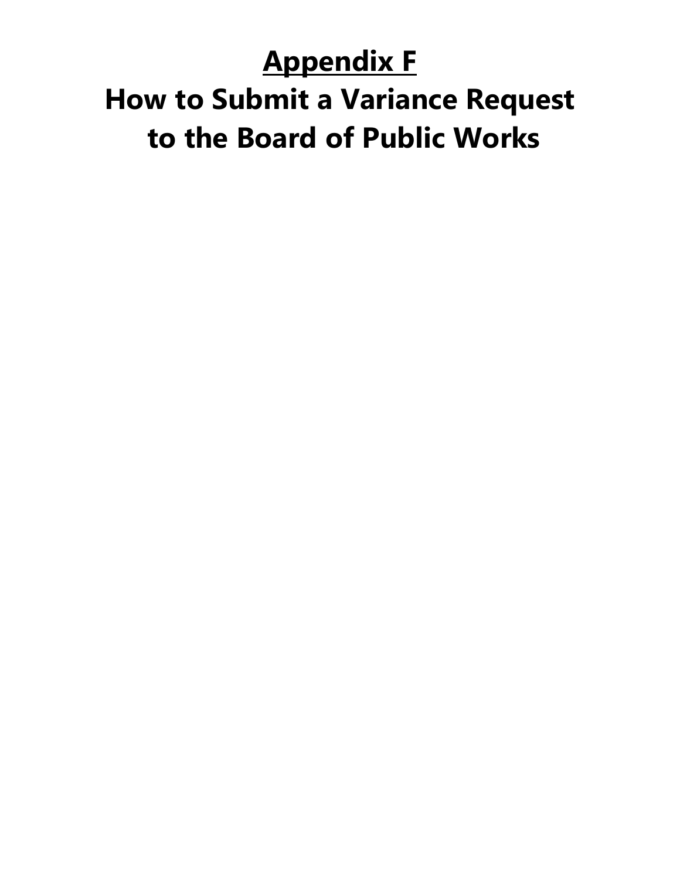## **Appendix F How to Submit a Variance Request to the Board of Public Works**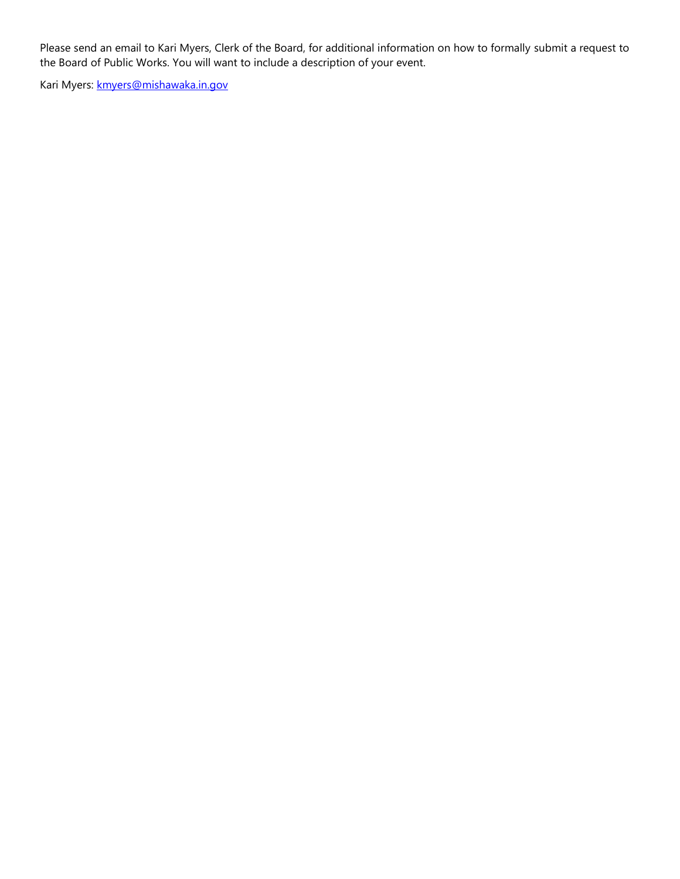Please send an email to Kari Myers, Clerk of the Board, for additional information on how to formally submit a request to the Board of Public Works. You will want to include a description of your event.

Kari Myers: **kmyers@mishawaka.in.gov**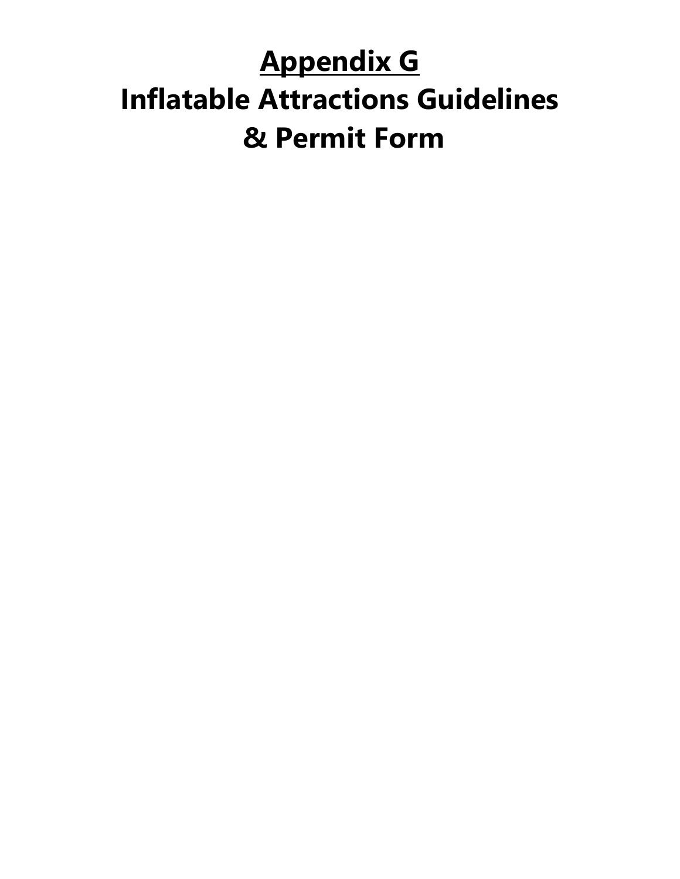## **Appendix G Inflatable Attractions Guidelines & Permit Form**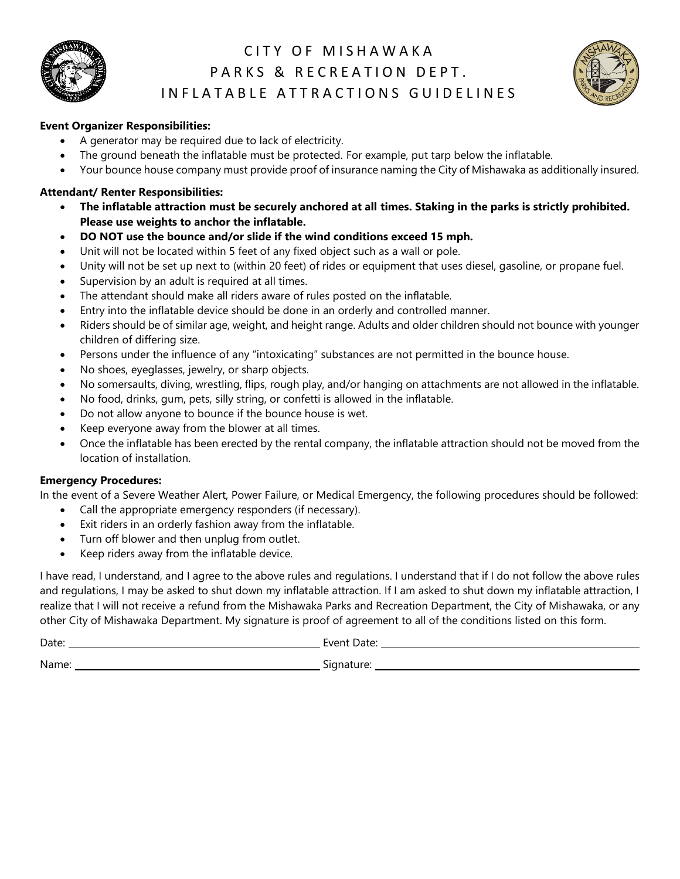

### CITY OF MISHAWAKA PARKS & RECREATION DEPT. IN FLATABLE ATTRACTIONS GUIDELINES



### **Event Organizer Responsibilities:**

- A generator may be required due to lack of electricity.
- The ground beneath the inflatable must be protected. For example, put tarp below the inflatable.
- Your bounce house company must provide proof of insurance naming the City of Mishawaka as additionally insured.

#### **Attendant/ Renter Responsibilities:**

- **The inflatable attraction must be securely anchored at all times. Staking in the parks is strictly prohibited. Please use weights to anchor the inflatable.**
- **DO NOT use the bounce and/or slide if the wind conditions exceed 15 mph.**
- Unit will not be located within 5 feet of any fixed object such as a wall or pole.
- Unity will not be set up next to (within 20 feet) of rides or equipment that uses diesel, gasoline, or propane fuel.
- Supervision by an adult is required at all times.
- The attendant should make all riders aware of rules posted on the inflatable.
- Entry into the inflatable device should be done in an orderly and controlled manner.
- Riders should be of similar age, weight, and height range. Adults and older children should not bounce with younger children of differing size.
- Persons under the influence of any "intoxicating" substances are not permitted in the bounce house.
- No shoes, eyeglasses, jewelry, or sharp objects.
- No somersaults, diving, wrestling, flips, rough play, and/or hanging on attachments are not allowed in the inflatable.
- No food, drinks, gum, pets, silly string, or confetti is allowed in the inflatable.
- Do not allow anyone to bounce if the bounce house is wet.
- Keep everyone away from the blower at all times.
- Once the inflatable has been erected by the rental company, the inflatable attraction should not be moved from the location of installation.

#### **Emergency Procedures:**

In the event of a Severe Weather Alert, Power Failure, or Medical Emergency, the following procedures should be followed:

- Call the appropriate emergency responders (if necessary).
- Exit riders in an orderly fashion away from the inflatable.
- Turn off blower and then unplug from outlet.
- Keep riders away from the inflatable device.

I have read, I understand, and I agree to the above rules and regulations. I understand that if I do not follow the above rules and regulations, I may be asked to shut down my inflatable attraction. If I am asked to shut down my inflatable attraction, I realize that I will not receive a refund from the Mishawaka Parks and Recreation Department, the City of Mishawaka, or any other City of Mishawaka Department. My signature is proof of agreement to all of the conditions listed on this form.

Date: Event Date: Name: Signature: Signature: Signature: Signature: Signature: Signature: Signature: Signature: Signature: Signature: Signature: Signature: Signature: Signature: Signature: Signature: Signature: Signature: Signature: Signatu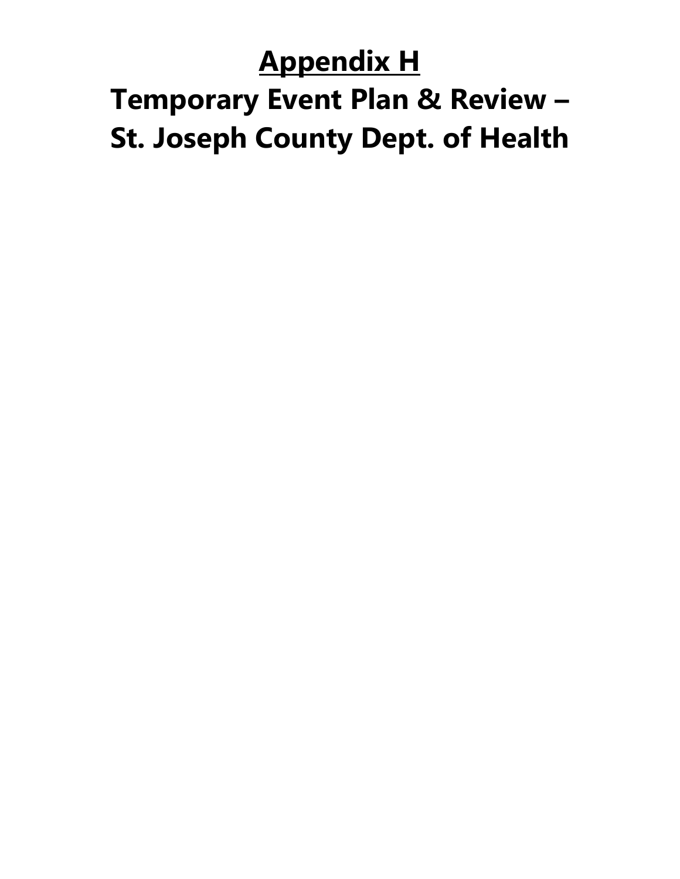### **Appendix H**

# **Temporary Event Plan & Review – St. Joseph County Dept. of Health**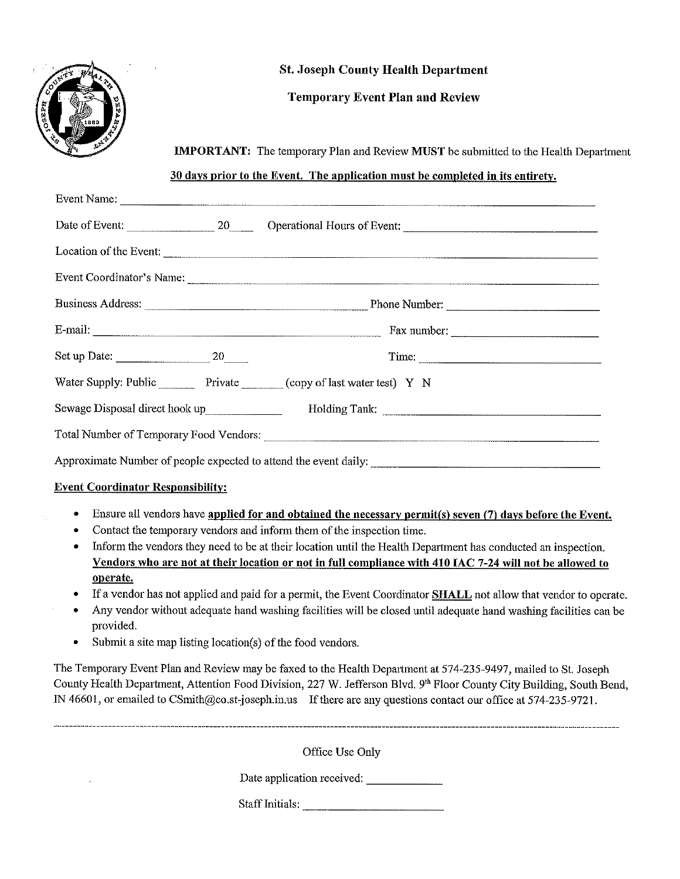

### **St. Joseph County Health Department**

### **Temporary Event Plan and Review**

**IMPORTANT:** The temporary Plan and Review **MUST** be submitted to the Health Department

### 30 days prior to the Event. The application must be completed in its entirety.

|                                          | Time:                                                                                                         |
|------------------------------------------|---------------------------------------------------------------------------------------------------------------|
|                                          | Water Supply: Public Private Copy of last water test) Y N                                                     |
|                                          |                                                                                                               |
|                                          |                                                                                                               |
|                                          |                                                                                                               |
| <b>Event Coordinator Responsibility:</b> |                                                                                                               |
| ٠                                        | Ensure all vendors have applied for and obtained the necessary permit(s) seven (7) days before the Event.     |
|                                          | Contact the temporary vendors and inform them of the inspection time.                                         |
| ۰                                        | Inform the vendors they need to be at their location until the Health Department has conducted an inspection. |
|                                          | Vendors who are not at their location or not in full compliance with 410 IAC 7-24 will not be allowed to      |
| operate.                                 |                                                                                                               |

- If a vendor has not applied and paid for a permit, the Event Coordinator **SHALL** not allow that vendor to operate.
- Any vendor without adequate hand washing facilities will be closed until adequate hand washing facilities can be  $\bullet$ provided.
- Submit a site map listing location(s) of the food vendors.  $\bullet$

The Temporary Event Plan and Review may be faxed to the Health Department at 574-235-9497, mailed to St. Joseph County Health Department, Attention Food Division, 227 W. Jefferson Blvd. 9th Floor County City Building, South Bend, IN 46601, or emailed to CSmith@co.st-joseph.in.us If there are any questions contact our office at 574-235-9721.

Office Use Only

Date application received: \_\_\_\_\_\_\_\_\_\_\_\_\_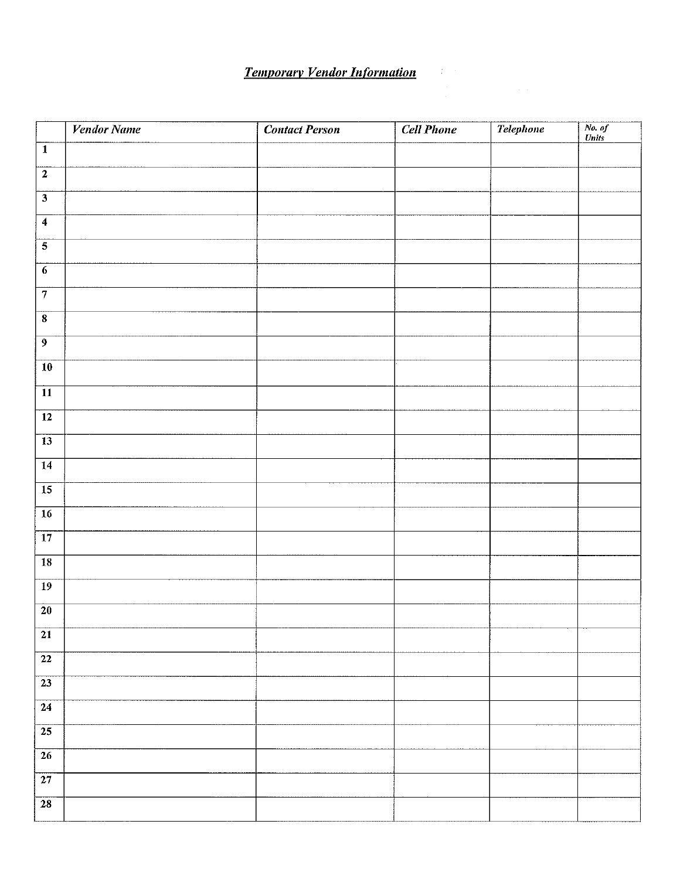# **Temporary Vendor Information**

|                         | <b>Vendor Name</b> | <b>Contact Person</b> | <b>Cell Phone</b> | <b>Telephone</b> | No. of<br>Units |
|-------------------------|--------------------|-----------------------|-------------------|------------------|-----------------|
| $\overline{1}$          |                    |                       |                   |                  |                 |
| $\overline{2}$          |                    |                       |                   |                  |                 |
|                         |                    |                       |                   |                  |                 |
| $\overline{4}$          |                    |                       |                   |                  |                 |
| $\overline{5}$          |                    |                       |                   |                  |                 |
| $\overline{6}$          |                    |                       |                   |                  |                 |
| $\overline{7}$          |                    |                       |                   |                  |                 |
| $\overline{\mathbf{8}}$ |                    |                       |                   |                  |                 |
| $\overline{9}$          |                    |                       |                   |                  |                 |
| $\overline{10}$         |                    |                       |                   |                  |                 |
| $\overline{11}$         |                    |                       |                   |                  |                 |
| $\overline{12}$         |                    |                       |                   |                  |                 |
| $\overline{13}$         |                    |                       |                   |                  |                 |
| $\overline{14}$         |                    |                       |                   |                  |                 |
| $\overline{15}$         |                    |                       |                   |                  |                 |
| $\overline{16}$         |                    |                       |                   |                  |                 |
| $\overline{17}$         |                    |                       |                   |                  |                 |
| $\overline{18}$         |                    |                       |                   |                  |                 |
| $\overline{19}$         |                    |                       |                   |                  |                 |
| 20                      |                    |                       |                   |                  |                 |
| $\overline{21}$         |                    |                       |                   |                  |                 |
| $\overline{22}$         |                    |                       |                   |                  |                 |
| $\overline{23}$         |                    |                       |                   |                  |                 |
| $\overline{24}$         |                    |                       |                   |                  |                 |
| $\overline{25}$         |                    |                       |                   |                  |                 |
| $\overline{26}$         |                    |                       |                   |                  |                 |
| $\overline{27}$         |                    |                       |                   |                  |                 |
| $\overline{28}$         |                    |                       |                   |                  |                 |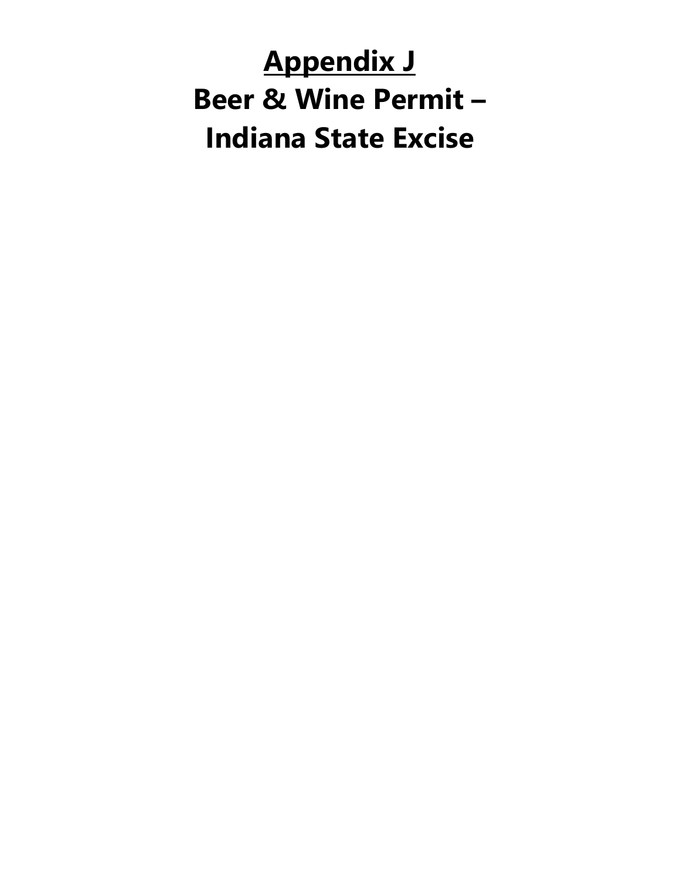# **Appendix J Beer & Wine Permit – Indiana State Excise**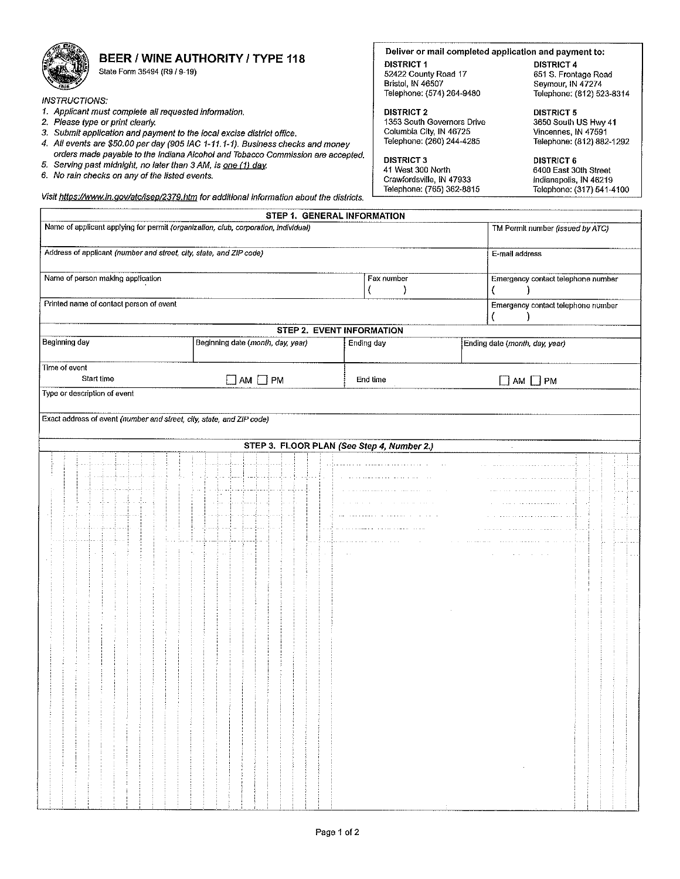

### BEER / WINE AUTHORITY / TYPE 118

State Form 35494 (R9 / 9-19)

**INSTRUCTIONS:** 

- 1. Applicant must complete all requested information.
- 2. Please type or print clearly.
- 
- 3. Submit application and payment to the local excise district office.<br>4. All events are \$50.00 per day (905 IAC 1-11.1-1). Business checks and money orders made payable to the Indiana Alcohol and Tobacco Commission are accepted.
- 5. Serving past midnight, no later than 3 AM, is one (1) day.
- 6. No rain checks on any of the listed events.

#### Deliver or mail completed application and payment to:

**DISTRICT 1** 52422 County Road 17 Bristol, IN 46507 Telephone: (574) 264-9480

**DISTRICT 2** 1353 South Governors Drive Columbia City, IN 46725 Telephone: (260) 244-4285

**DISTRICT 3** 41 West 300 North Crawfordsville, IN 47933 Telephone: (765) 362-8815

**DISTRICT 4** 651 S. Frontage Road<br>Seymour, IN 47274<br>Telephone: (812) 523-8314

**DISTRICT 5** 3650 South US Hwy 41 Vincennes, IN 47591 Telephone: (812) 882-1292

**DISTRICT 6** 6400 East 30th Street Indianapolis, IN 46219 Telephone: (317) 541-4100

Visit https://www.in.gov/atc/isep/2379.htm for additional information about the districts.

|                                                                                     | STEP 1. GENERAL INFORMATION                      |            |                                    |  |
|-------------------------------------------------------------------------------------|--------------------------------------------------|------------|------------------------------------|--|
| Name of applicant applying for permit (organization, club, corporation, individual) |                                                  |            | TM Permit number (issued by ATC)   |  |
| Address of applicant (number and street, city, state, and ZIP code)                 |                                                  |            | E-mail address                     |  |
| Name of person making application                                                   | Fax number<br>Emergency contact telephone number |            |                                    |  |
| Printed name of contact person of event                                             |                                                  |            | Emergency contact telephone number |  |
|                                                                                     |                                                  |            |                                    |  |
|                                                                                     | STEP 2. EVENT INFORMATION                        |            |                                    |  |
| Beginning day                                                                       | Beginning date (month, day, year)                | Ending day | Ending date (month, day, year)     |  |
| Time of event                                                                       |                                                  |            |                                    |  |
| Start time                                                                          | $\Box$ AM $\Box$ PM                              | End time   | $\Box$ am $\Box$ PM                |  |
| Type or description of event                                                        |                                                  |            |                                    |  |
|                                                                                     |                                                  |            |                                    |  |
| Exact address of event (number and street, city, state, and ZIP code)               |                                                  |            |                                    |  |
|                                                                                     | STEP 3. FLOOR PLAN (See Step 4, Number 2.)       |            |                                    |  |
|                                                                                     |                                                  |            |                                    |  |
|                                                                                     |                                                  |            |                                    |  |
|                                                                                     |                                                  |            |                                    |  |
|                                                                                     |                                                  |            |                                    |  |
|                                                                                     |                                                  |            |                                    |  |
|                                                                                     |                                                  |            |                                    |  |
|                                                                                     |                                                  |            |                                    |  |
|                                                                                     |                                                  |            |                                    |  |
|                                                                                     |                                                  |            |                                    |  |
|                                                                                     |                                                  |            |                                    |  |
|                                                                                     |                                                  |            |                                    |  |
|                                                                                     |                                                  |            |                                    |  |
|                                                                                     |                                                  |            |                                    |  |
|                                                                                     |                                                  |            |                                    |  |
|                                                                                     |                                                  |            |                                    |  |
|                                                                                     |                                                  |            |                                    |  |
|                                                                                     |                                                  |            |                                    |  |
|                                                                                     |                                                  |            |                                    |  |
|                                                                                     |                                                  |            |                                    |  |
|                                                                                     |                                                  |            |                                    |  |
|                                                                                     |                                                  |            |                                    |  |
|                                                                                     |                                                  |            |                                    |  |
|                                                                                     |                                                  |            |                                    |  |
|                                                                                     |                                                  |            |                                    |  |
|                                                                                     |                                                  |            |                                    |  |
|                                                                                     |                                                  |            |                                    |  |
|                                                                                     |                                                  |            |                                    |  |
|                                                                                     |                                                  |            |                                    |  |
|                                                                                     |                                                  |            |                                    |  |
|                                                                                     |                                                  |            |                                    |  |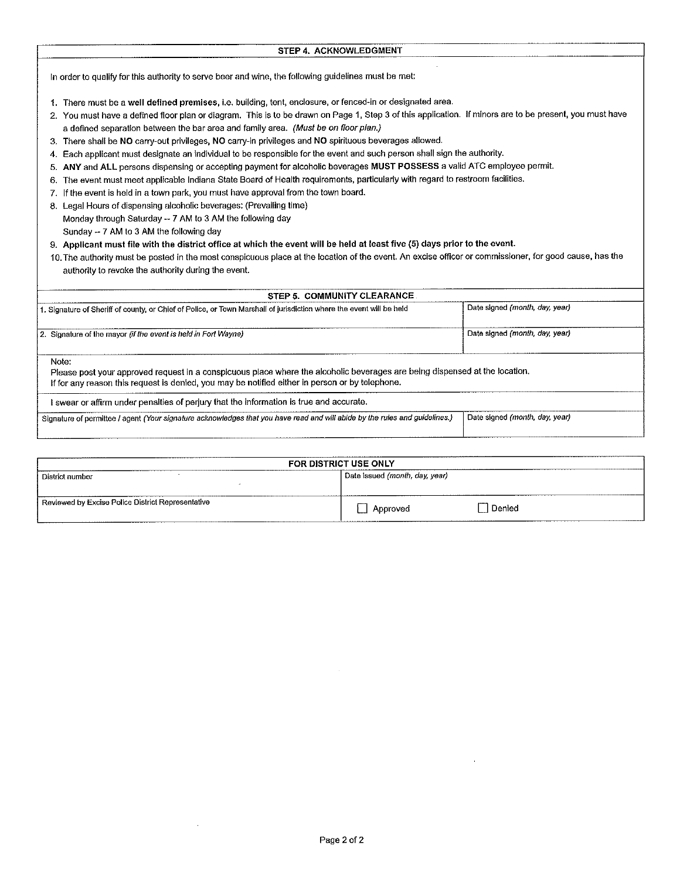| STEP 4. ACKNOWLEDGMENT |  |
|------------------------|--|

In order to qualify for this authority to serve beer and wine, the following guidelines must be met:

- 1. There must be a well defined premises, i.e. building, tent, enclosure, or fenced-in or designated area.
- 2. You must have a defined floor plan or diagram. This is to be drawn on Page 1, Step 3 of this application. If minors are to be present, you must have a defined separation between the bar area and family area. (Must be on floor plan.)
- 3. There shall be NO carry-out privileges, NO carry-in privileges and NO spirituous beverages allowed.
- 4. Each applicant must designate an individual to be responsible for the event and such person shall sign the authority.
- 5. ANY and ALL persons dispensing or accepting payment for alcoholic beverages MUST POSSESS a valid ATC employee permit.
- 6. The event must meet applicable Indiana State Board of Health requirements, particularly with regard to restroom facilities.
- 7. If the event is held in a town park, you must have approval from the town board.
- 8. Legal Hours of dispensing alcoholic beverages: (Prevailing time) Monday through Saturday -- 7 AM to 3 AM the following day Sunday -- 7 AM to 3 AM the following day
- 9. Applicant must file with the district office at which the event will be held at least five (5) days prior to the event.
- 10. The authority must be posted in the most conspicuous place at the location of the event. An excise officer or commissioner, for good cause, has the authority to revoke the authority during the event.

| STEP 5. COMMUNITY CLEARANCE                                                                                                                                                                                                    |                                |
|--------------------------------------------------------------------------------------------------------------------------------------------------------------------------------------------------------------------------------|--------------------------------|
| 1. Signature of Sheriff of county, or Chief of Police, or Town Marshall of jurisdiction where the event will be held                                                                                                           | Date signed (month, day, year) |
| 2. Signature of the mayor (if the event is held in Fort Wayne)                                                                                                                                                                 | Date signed (month, day, year) |
| Note:                                                                                                                                                                                                                          |                                |
| Please post your approved request in a conspicuous place where the alcoholic beverages are being dispensed at the location.<br>If for any reason this request is denied, you may be notified either in person or by telephone. |                                |
| I swear or affirm under penalties of perjury that the information is true and accurate.                                                                                                                                        |                                |

| FOR DISTRICT USE ONLY                                     |                                                           |  |  |
|-----------------------------------------------------------|-----------------------------------------------------------|--|--|
| District number                                           | Date issued (month, day, year)                            |  |  |
| ____<br>Reviewed by Excise Police District Representative | l Denied<br>Approved<br>.<br>____________________________ |  |  |